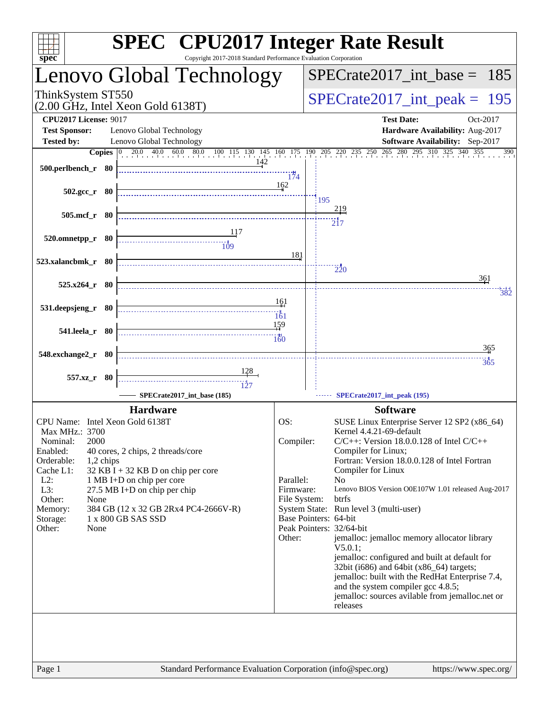| spec <sup>®</sup>               | <b>SPEC<sup>®</sup></b> CPU2017 Integer Rate Result<br>Copyright 2017-2018 Standard Performance Evaluation Corporation |              |                                 |                                                                                       |
|---------------------------------|------------------------------------------------------------------------------------------------------------------------|--------------|---------------------------------|---------------------------------------------------------------------------------------|
|                                 | Lenovo Global Technology                                                                                               |              |                                 | $SPECTate2017\_int\_base = 185$                                                       |
| ThinkSystem ST550               | $(2.00 \text{ GHz}, \text{Intel Xeon Gold } 6138 \text{T})$                                                            |              | $SPECrate2017\_int\_peak = 195$ |                                                                                       |
| <b>CPU2017 License: 9017</b>    |                                                                                                                        |              |                                 | <b>Test Date:</b><br>Oct-2017                                                         |
| <b>Test Sponsor:</b>            | Lenovo Global Technology                                                                                               |              |                                 | Hardware Availability: Aug-2017                                                       |
| <b>Tested by:</b>               | Lenovo Global Technology                                                                                               |              |                                 | Software Availability: Sep-2017                                                       |
| 500.perlbench_r 80              | <b>Copies</b> 0 20.0 40.0 60.0 80.0 100 115 130 145 160 175 190 205 220 235 250 265 280 295 310 325 340 355<br>142     | 174          |                                 | 390                                                                                   |
| $502.\text{gcc}_r$ 80           |                                                                                                                        | 162          | 195                             |                                                                                       |
| 505.mcf_r 80                    |                                                                                                                        |              |                                 | <u> 219</u>                                                                           |
|                                 |                                                                                                                        |              |                                 | $\overline{2}17$                                                                      |
| 520.omnetpp_r 80                | $\frac{1}{109}$                                                                                                        |              |                                 |                                                                                       |
| 523.xalancbmk_r 80              |                                                                                                                        | 181          |                                 |                                                                                       |
|                                 |                                                                                                                        |              |                                 | $\frac{1}{220}$                                                                       |
| 525.x264_r 80                   |                                                                                                                        |              |                                 | 361<br>382                                                                            |
|                                 |                                                                                                                        | 161          |                                 |                                                                                       |
| 531.deepsjeng_r 80              |                                                                                                                        | 161          |                                 |                                                                                       |
| 541.leela_r 80                  |                                                                                                                        | 159          |                                 |                                                                                       |
|                                 |                                                                                                                        | 160          |                                 |                                                                                       |
| 548.exchange2_r 80              |                                                                                                                        |              |                                 | 365                                                                                   |
|                                 |                                                                                                                        |              |                                 | 365                                                                                   |
| 557.xz_r 80                     |                                                                                                                        |              |                                 |                                                                                       |
|                                 | SPECrate2017 int base (185)                                                                                            |              |                                 | SPECrate2017_int_peak (195)                                                           |
|                                 | <b>Hardware</b>                                                                                                        |              |                                 | <b>Software</b>                                                                       |
| CPU Name: Intel Xeon Gold 6138T |                                                                                                                        | OS:          |                                 | SUSE Linux Enterprise Server 12 SP2 (x86_64)                                          |
| Max MHz.: 3700                  |                                                                                                                        |              |                                 | Kernel 4.4.21-69-default                                                              |
| 2000<br>Nominal:                |                                                                                                                        | Compiler:    |                                 | $C/C++$ : Version 18.0.0.128 of Intel $C/C++$                                         |
| Enabled:<br>Orderable:          | 40 cores, 2 chips, 2 threads/core                                                                                      |              |                                 | Compiler for Linux;<br>Fortran: Version 18.0.0.128 of Intel Fortran                   |
| 1,2 chips<br>Cache L1:          | $32$ KB I + 32 KB D on chip per core                                                                                   |              |                                 | Compiler for Linux                                                                    |
| $L2$ :                          | 1 MB I+D on chip per core                                                                                              | Parallel:    |                                 | N <sub>0</sub>                                                                        |
| L3:                             | $27.5$ MB I+D on chip per chip                                                                                         | Firmware:    |                                 | Lenovo BIOS Version O0E107W 1.01 released Aug-2017                                    |
| Other:<br>None                  |                                                                                                                        | File System: |                                 | btrfs                                                                                 |
| Memory:<br>Storage:             | 384 GB (12 x 32 GB 2Rx4 PC4-2666V-R)<br>1 x 800 GB SAS SSD                                                             |              |                                 | System State: Run level 3 (multi-user)<br>Base Pointers: 64-bit                       |
| Other:<br>None                  |                                                                                                                        |              |                                 | Peak Pointers: 32/64-bit                                                              |
|                                 |                                                                                                                        | Other:       |                                 | jemalloc: jemalloc memory allocator library<br>$V5.0.1$ :                             |
|                                 |                                                                                                                        |              |                                 | jemalloc: configured and built at default for                                         |
|                                 |                                                                                                                        |              |                                 | 32bit (i686) and 64bit (x86_64) targets;                                              |
|                                 |                                                                                                                        |              |                                 | jemalloc: built with the RedHat Enterprise 7.4,<br>and the system compiler gcc 4.8.5; |
|                                 |                                                                                                                        |              |                                 | jemalloc: sources avilable from jemalloc.net or                                       |
|                                 |                                                                                                                        |              |                                 | releases                                                                              |
|                                 |                                                                                                                        |              |                                 |                                                                                       |
|                                 |                                                                                                                        |              |                                 |                                                                                       |
|                                 |                                                                                                                        |              |                                 |                                                                                       |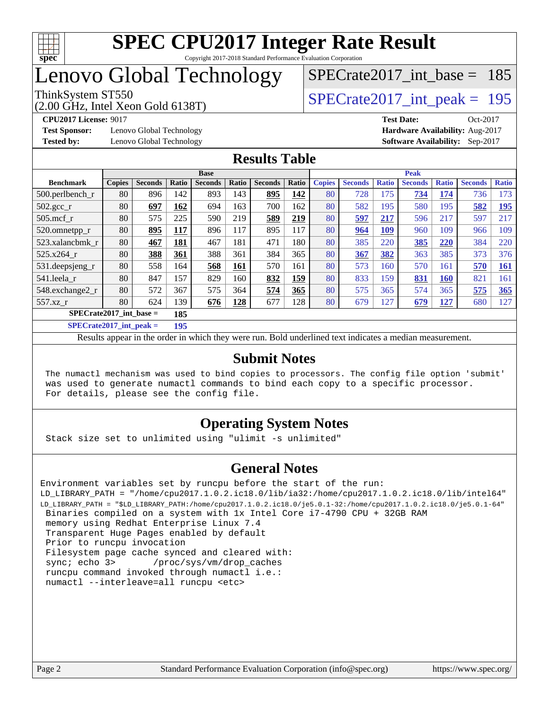

### Lenovo Global Technology

#### ThinkSystem ST550<br>  $\angle Q$  00 GHz, Intel Year Gold 6138T)<br>  $\angle$  [SPECrate2017\\_int\\_peak =](http://www.spec.org/auto/cpu2017/Docs/result-fields.html#SPECrate2017intpeak) 195 [SPECrate2017\\_int\\_base =](http://www.spec.org/auto/cpu2017/Docs/result-fields.html#SPECrate2017intbase) 185

(2.00 GHz, Intel Xeon Gold 6138T)

**[Test Sponsor:](http://www.spec.org/auto/cpu2017/Docs/result-fields.html#TestSponsor)** Lenovo Global Technology **[Hardware Availability:](http://www.spec.org/auto/cpu2017/Docs/result-fields.html#HardwareAvailability)** Aug-2017 **[Tested by:](http://www.spec.org/auto/cpu2017/Docs/result-fields.html#Testedby)** Lenovo Global Technology **[Software Availability:](http://www.spec.org/auto/cpu2017/Docs/result-fields.html#SoftwareAvailability)** Sep-2017

**[CPU2017 License:](http://www.spec.org/auto/cpu2017/Docs/result-fields.html#CPU2017License)** 9017 **[Test Date:](http://www.spec.org/auto/cpu2017/Docs/result-fields.html#TestDate)** Oct-2017

#### **[Results Table](http://www.spec.org/auto/cpu2017/Docs/result-fields.html#ResultsTable)**

|                                  | <b>Base</b>   |                |       |                |       |                | <b>Peak</b> |               |                |              |                |              |                |              |
|----------------------------------|---------------|----------------|-------|----------------|-------|----------------|-------------|---------------|----------------|--------------|----------------|--------------|----------------|--------------|
| <b>Benchmark</b>                 | <b>Copies</b> | <b>Seconds</b> | Ratio | <b>Seconds</b> | Ratio | <b>Seconds</b> | Ratio       | <b>Copies</b> | <b>Seconds</b> | <b>Ratio</b> | <b>Seconds</b> | <b>Ratio</b> | <b>Seconds</b> | <b>Ratio</b> |
| $500.$ perlbench_r               | 80            | 896            | 142   | 893            | 143   | 895            | 142         | 80            | 728            | 175          | 734            | 174          | 736            | 173          |
| $502.\text{gcc\_r}$              | 80            | 697            | 162   | 694            | 163   | 700            | 162         | 80            | 582            | 195          | 580            | 195          | 582            | 195          |
| $505$ .mcf r                     | 80            | 575            | 225   | 590            | 219   | 589            | 219         | 80            | 597            | 217          | 596            | 217          | 597            | 217          |
| 520.omnetpp_r                    | 80            | 895            | 117   | 896            | 117   | 895            | 117         | 80            | 964            | <b>109</b>   | 960            | 109          | 966            | 109          |
| 523.xalancbmk r                  | 80            | 467            | 181   | 467            | 181   | 471            | 180         | 80            | 385            | 220          | 385            | 220          | 384            | 220          |
| 525.x264 r                       | 80            | 388            | 361   | 388            | 361   | 384            | 365         | 80            | 367            | 382          | 363            | 385          | 373            | 376          |
| 531.deepsjeng_r                  | 80            | 558            | 164   | 568            | 161   | 570            | 161         | 80            | 573            | 160          | 570            | 161          | 570            | <b>161</b>   |
| 541.leela r                      | 80            | 847            | 157   | 829            | 160   | 832            | 159         | 80            | 833            | 159          | 831            | <b>160</b>   | 821            | 161          |
| 548.exchange2_r                  | 80            | 572            | 367   | 575            | 364   | 574            | 365         | 80            | 575            | 365          | 574            | 365          | 575            | 365          |
| 557.xz r                         | 80            | 624            | 139   | 676            | 128   | 677            | 128         | 80            | 679            | 127          | 679            | <u>127</u>   | 680            | 127          |
| $SPECrate2017$ int base =<br>185 |               |                |       |                |       |                |             |               |                |              |                |              |                |              |
|                                  |               |                | 10F   |                |       |                |             |               |                |              |                |              |                |              |

**[SPECrate2017\\_int\\_peak =](http://www.spec.org/auto/cpu2017/Docs/result-fields.html#SPECrate2017intpeak) 195**

Results appear in the [order in which they were run](http://www.spec.org/auto/cpu2017/Docs/result-fields.html#RunOrder). Bold underlined text [indicates a median measurement](http://www.spec.org/auto/cpu2017/Docs/result-fields.html#Median).

#### **[Submit Notes](http://www.spec.org/auto/cpu2017/Docs/result-fields.html#SubmitNotes)**

 The numactl mechanism was used to bind copies to processors. The config file option 'submit' was used to generate numactl commands to bind each copy to a specific processor. For details, please see the config file.

#### **[Operating System Notes](http://www.spec.org/auto/cpu2017/Docs/result-fields.html#OperatingSystemNotes)**

Stack size set to unlimited using "ulimit -s unlimited"

#### **[General Notes](http://www.spec.org/auto/cpu2017/Docs/result-fields.html#GeneralNotes)**

Environment variables set by runcpu before the start of the run: LD\_LIBRARY\_PATH = "/home/cpu2017.1.0.2.ic18.0/lib/ia32:/home/cpu2017.1.0.2.ic18.0/lib/intel64" LD\_LIBRARY\_PATH = "\$LD\_LIBRARY\_PATH:/home/cpu2017.1.0.2.ic18.0/je5.0.1-32:/home/cpu2017.1.0.2.ic18.0/je5.0.1-64" Binaries compiled on a system with 1x Intel Core i7-4790 CPU + 32GB RAM memory using Redhat Enterprise Linux 7.4 Transparent Huge Pages enabled by default Prior to runcpu invocation Filesystem page cache synced and cleared with: sync; echo 3> /proc/sys/vm/drop\_caches runcpu command invoked through numactl i.e.: numactl --interleave=all runcpu <etc>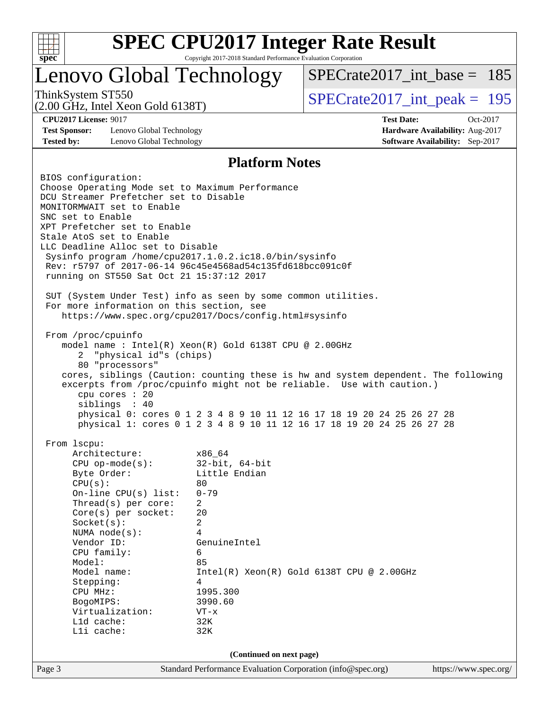

## **[SPEC CPU2017 Integer Rate Result](http://www.spec.org/auto/cpu2017/Docs/result-fields.html#SPECCPU2017IntegerRateResult)**

Copyright 2017-2018 Standard Performance Evaluation Corporation

### Lenovo Global Technology

ThinkSystem ST550<br>  $\angle Q$  00 GHz, Intel Year Gold 6138T)<br>  $\angle$  [SPECrate2017\\_int\\_peak =](http://www.spec.org/auto/cpu2017/Docs/result-fields.html#SPECrate2017intpeak) 195  $SPECrate2017\_int\_base = 185$ 

(2.00 GHz, Intel Xeon Gold 6138T)

**[CPU2017 License:](http://www.spec.org/auto/cpu2017/Docs/result-fields.html#CPU2017License)** 9017 **[Test Date:](http://www.spec.org/auto/cpu2017/Docs/result-fields.html#TestDate)** Oct-2017 **[Test Sponsor:](http://www.spec.org/auto/cpu2017/Docs/result-fields.html#TestSponsor)** Lenovo Global Technology **[Hardware Availability:](http://www.spec.org/auto/cpu2017/Docs/result-fields.html#HardwareAvailability)** Aug-2017 **[Tested by:](http://www.spec.org/auto/cpu2017/Docs/result-fields.html#Testedby)** Lenovo Global Technology **[Software Availability:](http://www.spec.org/auto/cpu2017/Docs/result-fields.html#SoftwareAvailability)** Sep-2017

#### **[Platform Notes](http://www.spec.org/auto/cpu2017/Docs/result-fields.html#PlatformNotes)**

Page 3 Standard Performance Evaluation Corporation [\(info@spec.org\)](mailto:info@spec.org) <https://www.spec.org/> BIOS configuration: Choose Operating Mode set to Maximum Performance DCU Streamer Prefetcher set to Disable MONITORMWAIT set to Enable SNC set to Enable XPT Prefetcher set to Enable Stale AtoS set to Enable LLC Deadline Alloc set to Disable Sysinfo program /home/cpu2017.1.0.2.ic18.0/bin/sysinfo Rev: r5797 of 2017-06-14 96c45e4568ad54c135fd618bcc091c0f running on ST550 Sat Oct 21 15:37:12 2017 SUT (System Under Test) info as seen by some common utilities. For more information on this section, see <https://www.spec.org/cpu2017/Docs/config.html#sysinfo> From /proc/cpuinfo model name : Intel(R) Xeon(R) Gold 6138T CPU @ 2.00GHz 2 "physical id"s (chips) 80 "processors" cores, siblings (Caution: counting these is hw and system dependent. The following excerpts from /proc/cpuinfo might not be reliable. Use with caution.) cpu cores : 20 siblings : 40 physical 0: cores 0 1 2 3 4 8 9 10 11 12 16 17 18 19 20 24 25 26 27 28 physical 1: cores 0 1 2 3 4 8 9 10 11 12 16 17 18 19 20 24 25 26 27 28 From lscpu: Architecture: x86\_64 CPU op-mode(s): 32-bit, 64-bit Byte Order: Little Endian  $CPU(s):$  80 On-line CPU(s) list: 0-79 Thread(s) per core: 2 Core(s) per socket: 20 Socket(s): 2 NUMA node(s): 4 Vendor ID: GenuineIntel CPU family: 6 Model: 85 Model name: Intel(R) Xeon(R) Gold 6138T CPU @ 2.00GHz Stepping: 4 CPU MHz: 1995.300 BogoMIPS: 3990.60 Virtualization: VT-x L1d cache: 32K L1i cache: 32K **(Continued on next page)**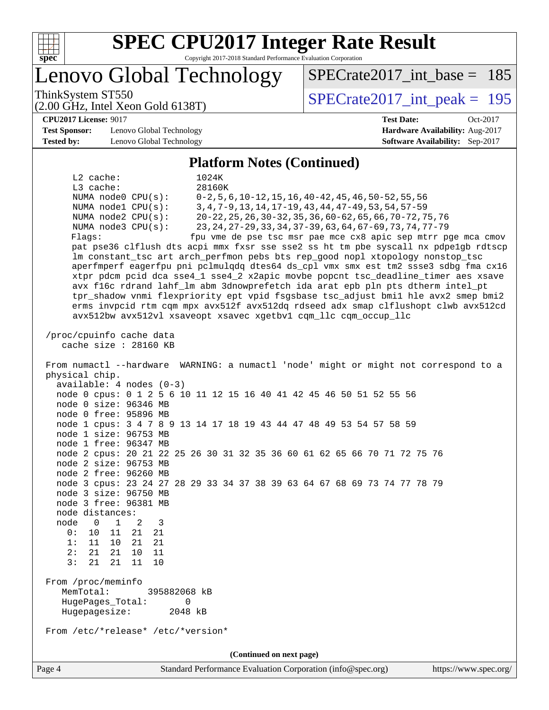

# **[SPEC CPU2017 Integer Rate Result](http://www.spec.org/auto/cpu2017/Docs/result-fields.html#SPECCPU2017IntegerRateResult)**

Copyright 2017-2018 Standard Performance Evaluation Corporation

Lenovo Global Technology

ThinkSystem ST550<br>  $\angle Q$  00 GHz, Intel Year Gold 6138T)<br>  $\angle$  [SPECrate2017\\_int\\_peak =](http://www.spec.org/auto/cpu2017/Docs/result-fields.html#SPECrate2017intpeak) 195

 $SPECrate2017\_int\_base = 185$ 

**[CPU2017 License:](http://www.spec.org/auto/cpu2017/Docs/result-fields.html#CPU2017License)** 9017 **[Test Date:](http://www.spec.org/auto/cpu2017/Docs/result-fields.html#TestDate)** Oct-2017

**[Test Sponsor:](http://www.spec.org/auto/cpu2017/Docs/result-fields.html#TestSponsor)** Lenovo Global Technology **[Hardware Availability:](http://www.spec.org/auto/cpu2017/Docs/result-fields.html#HardwareAvailability)** Aug-2017 **[Tested by:](http://www.spec.org/auto/cpu2017/Docs/result-fields.html#Testedby)** Lenovo Global Technology **[Software Availability:](http://www.spec.org/auto/cpu2017/Docs/result-fields.html#SoftwareAvailability)** Sep-2017

(2.00 GHz, Intel Xeon Gold 6138T)

#### **[Platform Notes \(Continued\)](http://www.spec.org/auto/cpu2017/Docs/result-fields.html#PlatformNotes)**

 L2 cache: 1024K L3 cache: 28160K NUMA node0 CPU(s): 0-2,5,6,10-12,15,16,40-42,45,46,50-52,55,56 NUMA node1 CPU(s): 3,4,7-9,13,14,17-19,43,44,47-49,53,54,57-59 NUMA node2 CPU(s): 20-22,25,26,30-32,35,36,60-62,65,66,70-72,75,76 NUMA node3 CPU(s): 23,24,27-29,33,34,37-39,63,64,67-69,73,74,77-79 Flags: fpu vme de pse tsc msr pae mce cx8 apic sep mtrr pge mca cmov pat pse36 clflush dts acpi mmx fxsr sse sse2 ss ht tm pbe syscall nx pdpe1gb rdtscp lm constant\_tsc art arch\_perfmon pebs bts rep\_good nopl xtopology nonstop\_tsc aperfmperf eagerfpu pni pclmulqdq dtes64 ds\_cpl vmx smx est tm2 ssse3 sdbg fma cx16 xtpr pdcm pcid dca sse4\_1 sse4\_2 x2apic movbe popcnt tsc\_deadline\_timer aes xsave avx f16c rdrand lahf\_lm abm 3dnowprefetch ida arat epb pln pts dtherm intel\_pt tpr\_shadow vnmi flexpriority ept vpid fsgsbase tsc\_adjust bmi1 hle avx2 smep bmi2 erms invpcid rtm cqm mpx avx512f avx512dq rdseed adx smap clflushopt clwb avx512cd avx512bw avx512vl xsaveopt xsavec xgetbv1 cqm\_llc cqm\_occup\_llc /proc/cpuinfo cache data cache size : 28160 KB From numactl --hardware WARNING: a numactl 'node' might or might not correspond to a physical chip. available: 4 nodes (0-3) node 0 cpus: 0 1 2 5 6 10 11 12 15 16 40 41 42 45 46 50 51 52 55 56 node 0 size: 96346 MB node 0 free: 95896 MB node 1 cpus: 3 4 7 8 9 13 14 17 18 19 43 44 47 48 49 53 54 57 58 59 node 1 size: 96753 MB node 1 free: 96347 MB node 2 cpus: 20 21 22 25 26 30 31 32 35 36 60 61 62 65 66 70 71 72 75 76 node 2 size: 96753 MB node 2 free: 96260 MB node 3 cpus: 23 24 27 28 29 33 34 37 38 39 63 64 67 68 69 73 74 77 78 79 node 3 size: 96750 MB node 3 free: 96381 MB node distances: node 0 1 2 3 0: 10 11 21 21 1: 11 10 21 21 2: 21 21 10 11 3: 21 21 11 10 From /proc/meminfo MemTotal: 395882068 kB HugePages\_Total: 0 Hugepagesize: 2048 kB From /etc/\*release\* /etc/\*version\* **(Continued on next page)**

Page 4 Standard Performance Evaluation Corporation [\(info@spec.org\)](mailto:info@spec.org) <https://www.spec.org/>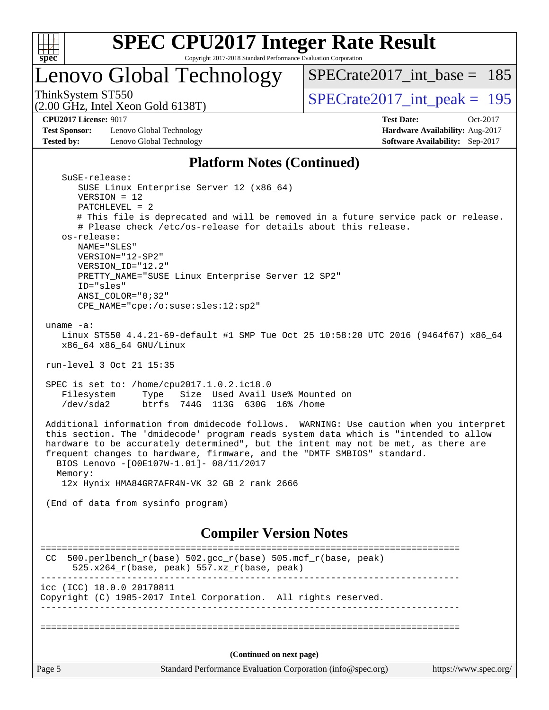

## Lenovo Global Technology

ThinkSystem ST550<br>  $(2.00 \text{ GHz})$  Intel Xeon Gold 6138T) [SPECrate2017\\_int\\_base =](http://www.spec.org/auto/cpu2017/Docs/result-fields.html#SPECrate2017intbase) 185

(2.00 GHz, Intel Xeon Gold 6138T)

SuSE-release:

**[Test Sponsor:](http://www.spec.org/auto/cpu2017/Docs/result-fields.html#TestSponsor)** Lenovo Global Technology **[Hardware Availability:](http://www.spec.org/auto/cpu2017/Docs/result-fields.html#HardwareAvailability)** Aug-2017 **[Tested by:](http://www.spec.org/auto/cpu2017/Docs/result-fields.html#Testedby)** Lenovo Global Technology **[Software Availability:](http://www.spec.org/auto/cpu2017/Docs/result-fields.html#SoftwareAvailability)** Sep-2017

**[CPU2017 License:](http://www.spec.org/auto/cpu2017/Docs/result-fields.html#CPU2017License)** 9017 **[Test Date:](http://www.spec.org/auto/cpu2017/Docs/result-fields.html#TestDate)** Oct-2017

#### **[Platform Notes \(Continued\)](http://www.spec.org/auto/cpu2017/Docs/result-fields.html#PlatformNotes)**

| (Continued on next page)                                                                                                                                                                                                                                                                                                                                                                                                                             |  |  |  |  |  |
|------------------------------------------------------------------------------------------------------------------------------------------------------------------------------------------------------------------------------------------------------------------------------------------------------------------------------------------------------------------------------------------------------------------------------------------------------|--|--|--|--|--|
|                                                                                                                                                                                                                                                                                                                                                                                                                                                      |  |  |  |  |  |
| icc (ICC) 18.0.0 20170811<br>Copyright (C) 1985-2017 Intel Corporation. All rights reserved.                                                                                                                                                                                                                                                                                                                                                         |  |  |  |  |  |
| 500.perlbench_r(base) 502.gcc_r(base) 505.mcf_r(base, peak)<br>CC<br>$525.x264_r(base, peak) 557.xz_r(base, peak)$                                                                                                                                                                                                                                                                                                                                   |  |  |  |  |  |
| <b>Compiler Version Notes</b>                                                                                                                                                                                                                                                                                                                                                                                                                        |  |  |  |  |  |
| (End of data from sysinfo program)                                                                                                                                                                                                                                                                                                                                                                                                                   |  |  |  |  |  |
| Additional information from dmidecode follows. WARNING: Use caution when you interpret<br>this section. The 'dmidecode' program reads system data which is "intended to allow<br>hardware to be accurately determined", but the intent may not be met, as there are<br>frequent changes to hardware, firmware, and the "DMTF SMBIOS" standard.<br>BIOS Lenovo -[O0E107W-1.01]- 08/11/2017<br>Memory:<br>12x Hynix HMA84GR7AFR4N-VK 32 GB 2 rank 2666 |  |  |  |  |  |
| SPEC is set to: /home/cpu2017.1.0.2.ic18.0<br>Filesystem Type Size Used Avail Use% Mounted on<br>/dev/sda2<br>btrfs 744G 113G 630G 16% / home                                                                                                                                                                                                                                                                                                        |  |  |  |  |  |
| run-level 3 Oct 21 15:35                                                                                                                                                                                                                                                                                                                                                                                                                             |  |  |  |  |  |
| uname $-a$ :<br>Linux ST550 4.4.21-69-default #1 SMP Tue Oct 25 10:58:20 UTC 2016 (9464f67) x86_64<br>x86_64 x86_64 GNU/Linux                                                                                                                                                                                                                                                                                                                        |  |  |  |  |  |
| SUSE Linux Enterprise Server 12 (x86_64)<br>$VERSION = 12$<br>$PATCHLEVEL = 2$<br># This file is deprecated and will be removed in a future service pack or release.<br># Please check /etc/os-release for details about this release.<br>os-release:<br>NAME="SLES"<br>VERSION="12-SP2"<br>VERSION_ID="12.2"<br>PRETTY_NAME="SUSE Linux Enterprise Server 12 SP2"<br>ID="sles"<br>ANSI COLOR="0;32"<br>CPE_NAME="cpe:/o:suse:sles:12:sp2"           |  |  |  |  |  |
| SUSE-LEIEGSE.                                                                                                                                                                                                                                                                                                                                                                                                                                        |  |  |  |  |  |

Page 5 Standard Performance Evaluation Corporation [\(info@spec.org\)](mailto:info@spec.org) <https://www.spec.org/>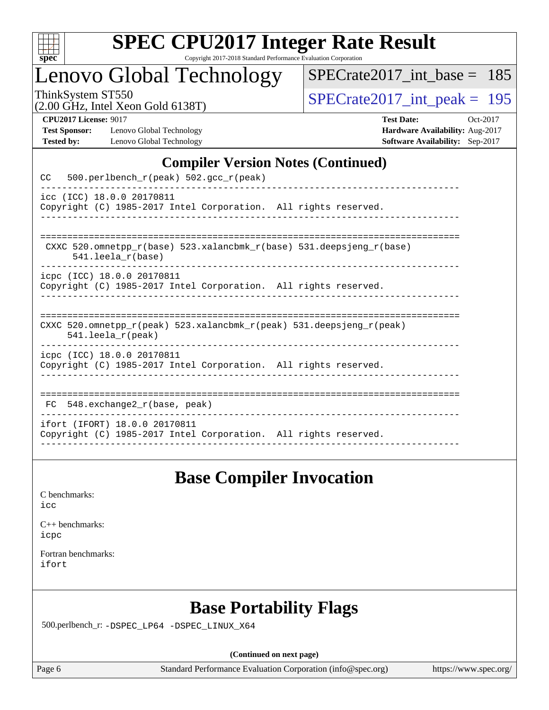

Lenovo Global Technology

[SPECrate2017\\_int\\_base =](http://www.spec.org/auto/cpu2017/Docs/result-fields.html#SPECrate2017intbase) 185

(2.00 GHz, Intel Xeon Gold 6138T)

ThinkSystem ST550<br>(2.00 GHz, Intel Xeon Gold 6138T)  $\begin{array}{r} | \text{SPECrate2017\_int\_peak} = 195 \end{array}$ 

**[Test Sponsor:](http://www.spec.org/auto/cpu2017/Docs/result-fields.html#TestSponsor)** Lenovo Global Technology **[Hardware Availability:](http://www.spec.org/auto/cpu2017/Docs/result-fields.html#HardwareAvailability)** Aug-2017 **[Tested by:](http://www.spec.org/auto/cpu2017/Docs/result-fields.html#Testedby)** Lenovo Global Technology **[Software Availability:](http://www.spec.org/auto/cpu2017/Docs/result-fields.html#SoftwareAvailability)** Sep-2017

**[CPU2017 License:](http://www.spec.org/auto/cpu2017/Docs/result-fields.html#CPU2017License)** 9017 **[Test Date:](http://www.spec.org/auto/cpu2017/Docs/result-fields.html#TestDate)** Oct-2017

#### **[Compiler Version Notes \(Continued\)](http://www.spec.org/auto/cpu2017/Docs/result-fields.html#CompilerVersionNotes)**

| 500.perlbench_r(peak) 502.gcc_r(peak)<br>CC                                                          |
|------------------------------------------------------------------------------------------------------|
| icc (ICC) 18.0.0 20170811<br>Copyright (C) 1985-2017 Intel Corporation. All rights reserved.         |
| CXXC 520.omnetpp $r(base)$ 523.xalancbmk $r(base)$ 531.deepsjeng $r(base)$<br>$541.$ leela $r(base)$ |
| icpc (ICC) 18.0.0 20170811<br>Copyright (C) 1985-2017 Intel Corporation. All rights reserved.        |
| CXXC 520.omnetpp_r(peak) 523.xalancbmk_r(peak) 531.deepsjeng_r(peak)<br>$541.$ leela $r$ (peak)      |
| icpc (ICC) 18.0.0 20170811<br>Copyright (C) 1985-2017 Intel Corporation. All rights reserved.        |
| 548.exchange2_r(base, peak)<br>FC                                                                    |
| ifort (IFORT) 18.0.0 20170811<br>Copyright (C) 1985-2017 Intel Corporation. All rights reserved.     |

### **[Base Compiler Invocation](http://www.spec.org/auto/cpu2017/Docs/result-fields.html#BaseCompilerInvocation)**

[icc](http://www.spec.org/cpu2017/results/res2017q4/cpu2017-20171114-00740.flags.html#user_CCbase_intel_icc_18.0_66fc1ee009f7361af1fbd72ca7dcefbb700085f36577c54f309893dd4ec40d12360134090235512931783d35fd58c0460139e722d5067c5574d8eaf2b3e37e92)

| $C_{++}$ benchmarks: |
|----------------------|
| icpc                 |

[Fortran benchmarks](http://www.spec.org/auto/cpu2017/Docs/result-fields.html#Fortranbenchmarks): [ifort](http://www.spec.org/cpu2017/results/res2017q4/cpu2017-20171114-00740.flags.html#user_FCbase_intel_ifort_18.0_8111460550e3ca792625aed983ce982f94888b8b503583aa7ba2b8303487b4d8a21a13e7191a45c5fd58ff318f48f9492884d4413fa793fd88dd292cad7027ca)

### **[Base Portability Flags](http://www.spec.org/auto/cpu2017/Docs/result-fields.html#BasePortabilityFlags)**

500.perlbench\_r: [-DSPEC\\_LP64](http://www.spec.org/cpu2017/results/res2017q4/cpu2017-20171114-00740.flags.html#b500.perlbench_r_basePORTABILITY_DSPEC_LP64) [-DSPEC\\_LINUX\\_X64](http://www.spec.org/cpu2017/results/res2017q4/cpu2017-20171114-00740.flags.html#b500.perlbench_r_baseCPORTABILITY_DSPEC_LINUX_X64)

**(Continued on next page)**

Page 6 Standard Performance Evaluation Corporation [\(info@spec.org\)](mailto:info@spec.org) <https://www.spec.org/>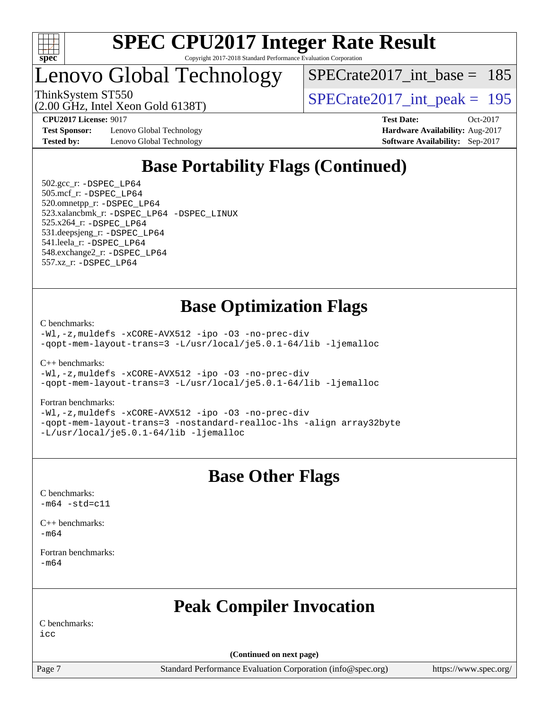

### Lenovo Global Technology

[SPECrate2017\\_int\\_base =](http://www.spec.org/auto/cpu2017/Docs/result-fields.html#SPECrate2017intbase) 185

(2.00 GHz, Intel Xeon Gold 6138T)

ThinkSystem ST550<br>  $\langle 2.00 \rangle$  CH<sub>z</sub> Intel Year Gold 6138T)<br>  $\langle$  [SPECrate2017\\_int\\_peak =](http://www.spec.org/auto/cpu2017/Docs/result-fields.html#SPECrate2017intpeak) 195

**[Test Sponsor:](http://www.spec.org/auto/cpu2017/Docs/result-fields.html#TestSponsor)** Lenovo Global Technology **[Hardware Availability:](http://www.spec.org/auto/cpu2017/Docs/result-fields.html#HardwareAvailability)** Aug-2017 **[Tested by:](http://www.spec.org/auto/cpu2017/Docs/result-fields.html#Testedby)** Lenovo Global Technology **[Software Availability:](http://www.spec.org/auto/cpu2017/Docs/result-fields.html#SoftwareAvailability)** Sep-2017

**[CPU2017 License:](http://www.spec.org/auto/cpu2017/Docs/result-fields.html#CPU2017License)** 9017 **[Test Date:](http://www.spec.org/auto/cpu2017/Docs/result-fields.html#TestDate)** Oct-2017

### **[Base Portability Flags \(Continued\)](http://www.spec.org/auto/cpu2017/Docs/result-fields.html#BasePortabilityFlags)**

 502.gcc\_r: [-DSPEC\\_LP64](http://www.spec.org/cpu2017/results/res2017q4/cpu2017-20171114-00740.flags.html#suite_basePORTABILITY502_gcc_r_DSPEC_LP64) 505.mcf\_r: [-DSPEC\\_LP64](http://www.spec.org/cpu2017/results/res2017q4/cpu2017-20171114-00740.flags.html#suite_basePORTABILITY505_mcf_r_DSPEC_LP64) 520.omnetpp\_r: [-DSPEC\\_LP64](http://www.spec.org/cpu2017/results/res2017q4/cpu2017-20171114-00740.flags.html#suite_basePORTABILITY520_omnetpp_r_DSPEC_LP64) 523.xalancbmk\_r: [-DSPEC\\_LP64](http://www.spec.org/cpu2017/results/res2017q4/cpu2017-20171114-00740.flags.html#suite_basePORTABILITY523_xalancbmk_r_DSPEC_LP64) [-DSPEC\\_LINUX](http://www.spec.org/cpu2017/results/res2017q4/cpu2017-20171114-00740.flags.html#b523.xalancbmk_r_baseCXXPORTABILITY_DSPEC_LINUX) 525.x264\_r: [-DSPEC\\_LP64](http://www.spec.org/cpu2017/results/res2017q4/cpu2017-20171114-00740.flags.html#suite_basePORTABILITY525_x264_r_DSPEC_LP64) 531.deepsjeng\_r: [-DSPEC\\_LP64](http://www.spec.org/cpu2017/results/res2017q4/cpu2017-20171114-00740.flags.html#suite_basePORTABILITY531_deepsjeng_r_DSPEC_LP64) 541.leela\_r: [-DSPEC\\_LP64](http://www.spec.org/cpu2017/results/res2017q4/cpu2017-20171114-00740.flags.html#suite_basePORTABILITY541_leela_r_DSPEC_LP64) 548.exchange2\_r: [-DSPEC\\_LP64](http://www.spec.org/cpu2017/results/res2017q4/cpu2017-20171114-00740.flags.html#suite_basePORTABILITY548_exchange2_r_DSPEC_LP64) 557.xz\_r: [-DSPEC\\_LP64](http://www.spec.org/cpu2017/results/res2017q4/cpu2017-20171114-00740.flags.html#suite_basePORTABILITY557_xz_r_DSPEC_LP64)

### **[Base Optimization Flags](http://www.spec.org/auto/cpu2017/Docs/result-fields.html#BaseOptimizationFlags)**

[C benchmarks](http://www.spec.org/auto/cpu2017/Docs/result-fields.html#Cbenchmarks):

[-Wl,-z,muldefs](http://www.spec.org/cpu2017/results/res2017q4/cpu2017-20171114-00740.flags.html#user_CCbase_link_force_multiple1_b4cbdb97b34bdee9ceefcfe54f4c8ea74255f0b02a4b23e853cdb0e18eb4525ac79b5a88067c842dd0ee6996c24547a27a4b99331201badda8798ef8a743f577) [-xCORE-AVX512](http://www.spec.org/cpu2017/results/res2017q4/cpu2017-20171114-00740.flags.html#user_CCbase_f-xCORE-AVX512) [-ipo](http://www.spec.org/cpu2017/results/res2017q4/cpu2017-20171114-00740.flags.html#user_CCbase_f-ipo) [-O3](http://www.spec.org/cpu2017/results/res2017q4/cpu2017-20171114-00740.flags.html#user_CCbase_f-O3) [-no-prec-div](http://www.spec.org/cpu2017/results/res2017q4/cpu2017-20171114-00740.flags.html#user_CCbase_f-no-prec-div) [-qopt-mem-layout-trans=3](http://www.spec.org/cpu2017/results/res2017q4/cpu2017-20171114-00740.flags.html#user_CCbase_f-qopt-mem-layout-trans_de80db37974c74b1f0e20d883f0b675c88c3b01e9d123adea9b28688d64333345fb62bc4a798493513fdb68f60282f9a726aa07f478b2f7113531aecce732043) [-L/usr/local/je5.0.1-64/lib](http://www.spec.org/cpu2017/results/res2017q4/cpu2017-20171114-00740.flags.html#user_CCbase_jemalloc_link_path64_4b10a636b7bce113509b17f3bd0d6226c5fb2346b9178c2d0232c14f04ab830f976640479e5c33dc2bcbbdad86ecfb6634cbbd4418746f06f368b512fced5394) [-ljemalloc](http://www.spec.org/cpu2017/results/res2017q4/cpu2017-20171114-00740.flags.html#user_CCbase_jemalloc_link_lib_d1249b907c500fa1c0672f44f562e3d0f79738ae9e3c4a9c376d49f265a04b9c99b167ecedbf6711b3085be911c67ff61f150a17b3472be731631ba4d0471706)

[C++ benchmarks:](http://www.spec.org/auto/cpu2017/Docs/result-fields.html#CXXbenchmarks)

[-Wl,-z,muldefs](http://www.spec.org/cpu2017/results/res2017q4/cpu2017-20171114-00740.flags.html#user_CXXbase_link_force_multiple1_b4cbdb97b34bdee9ceefcfe54f4c8ea74255f0b02a4b23e853cdb0e18eb4525ac79b5a88067c842dd0ee6996c24547a27a4b99331201badda8798ef8a743f577) [-xCORE-AVX512](http://www.spec.org/cpu2017/results/res2017q4/cpu2017-20171114-00740.flags.html#user_CXXbase_f-xCORE-AVX512) [-ipo](http://www.spec.org/cpu2017/results/res2017q4/cpu2017-20171114-00740.flags.html#user_CXXbase_f-ipo) [-O3](http://www.spec.org/cpu2017/results/res2017q4/cpu2017-20171114-00740.flags.html#user_CXXbase_f-O3) [-no-prec-div](http://www.spec.org/cpu2017/results/res2017q4/cpu2017-20171114-00740.flags.html#user_CXXbase_f-no-prec-div) [-qopt-mem-layout-trans=3](http://www.spec.org/cpu2017/results/res2017q4/cpu2017-20171114-00740.flags.html#user_CXXbase_f-qopt-mem-layout-trans_de80db37974c74b1f0e20d883f0b675c88c3b01e9d123adea9b28688d64333345fb62bc4a798493513fdb68f60282f9a726aa07f478b2f7113531aecce732043) [-L/usr/local/je5.0.1-64/lib](http://www.spec.org/cpu2017/results/res2017q4/cpu2017-20171114-00740.flags.html#user_CXXbase_jemalloc_link_path64_4b10a636b7bce113509b17f3bd0d6226c5fb2346b9178c2d0232c14f04ab830f976640479e5c33dc2bcbbdad86ecfb6634cbbd4418746f06f368b512fced5394) [-ljemalloc](http://www.spec.org/cpu2017/results/res2017q4/cpu2017-20171114-00740.flags.html#user_CXXbase_jemalloc_link_lib_d1249b907c500fa1c0672f44f562e3d0f79738ae9e3c4a9c376d49f265a04b9c99b167ecedbf6711b3085be911c67ff61f150a17b3472be731631ba4d0471706)

#### [Fortran benchmarks](http://www.spec.org/auto/cpu2017/Docs/result-fields.html#Fortranbenchmarks):

[-Wl,-z,muldefs](http://www.spec.org/cpu2017/results/res2017q4/cpu2017-20171114-00740.flags.html#user_FCbase_link_force_multiple1_b4cbdb97b34bdee9ceefcfe54f4c8ea74255f0b02a4b23e853cdb0e18eb4525ac79b5a88067c842dd0ee6996c24547a27a4b99331201badda8798ef8a743f577) [-xCORE-AVX512](http://www.spec.org/cpu2017/results/res2017q4/cpu2017-20171114-00740.flags.html#user_FCbase_f-xCORE-AVX512) [-ipo](http://www.spec.org/cpu2017/results/res2017q4/cpu2017-20171114-00740.flags.html#user_FCbase_f-ipo) [-O3](http://www.spec.org/cpu2017/results/res2017q4/cpu2017-20171114-00740.flags.html#user_FCbase_f-O3) [-no-prec-div](http://www.spec.org/cpu2017/results/res2017q4/cpu2017-20171114-00740.flags.html#user_FCbase_f-no-prec-div) [-qopt-mem-layout-trans=3](http://www.spec.org/cpu2017/results/res2017q4/cpu2017-20171114-00740.flags.html#user_FCbase_f-qopt-mem-layout-trans_de80db37974c74b1f0e20d883f0b675c88c3b01e9d123adea9b28688d64333345fb62bc4a798493513fdb68f60282f9a726aa07f478b2f7113531aecce732043) [-nostandard-realloc-lhs](http://www.spec.org/cpu2017/results/res2017q4/cpu2017-20171114-00740.flags.html#user_FCbase_f_2003_std_realloc_82b4557e90729c0f113870c07e44d33d6f5a304b4f63d4c15d2d0f1fab99f5daaed73bdb9275d9ae411527f28b936061aa8b9c8f2d63842963b95c9dd6426b8a) [-align array32byte](http://www.spec.org/cpu2017/results/res2017q4/cpu2017-20171114-00740.flags.html#user_FCbase_align_array32byte_b982fe038af199962ba9a80c053b8342c548c85b40b8e86eb3cc33dee0d7986a4af373ac2d51c3f7cf710a18d62fdce2948f201cd044323541f22fc0fffc51b6) [-L/usr/local/je5.0.1-64/lib](http://www.spec.org/cpu2017/results/res2017q4/cpu2017-20171114-00740.flags.html#user_FCbase_jemalloc_link_path64_4b10a636b7bce113509b17f3bd0d6226c5fb2346b9178c2d0232c14f04ab830f976640479e5c33dc2bcbbdad86ecfb6634cbbd4418746f06f368b512fced5394) [-ljemalloc](http://www.spec.org/cpu2017/results/res2017q4/cpu2017-20171114-00740.flags.html#user_FCbase_jemalloc_link_lib_d1249b907c500fa1c0672f44f562e3d0f79738ae9e3c4a9c376d49f265a04b9c99b167ecedbf6711b3085be911c67ff61f150a17b3472be731631ba4d0471706)

#### **[Base Other Flags](http://www.spec.org/auto/cpu2017/Docs/result-fields.html#BaseOtherFlags)**

[C benchmarks](http://www.spec.org/auto/cpu2017/Docs/result-fields.html#Cbenchmarks):  $-m64 - std= c11$  $-m64 - std= c11$ 

[C++ benchmarks:](http://www.spec.org/auto/cpu2017/Docs/result-fields.html#CXXbenchmarks) [-m64](http://www.spec.org/cpu2017/results/res2017q4/cpu2017-20171114-00740.flags.html#user_CXXbase_intel_intel64_18.0_af43caccfc8ded86e7699f2159af6efc7655f51387b94da716254467f3c01020a5059329e2569e4053f409e7c9202a7efc638f7a6d1ffb3f52dea4a3e31d82ab)

[Fortran benchmarks](http://www.spec.org/auto/cpu2017/Docs/result-fields.html#Fortranbenchmarks): [-m64](http://www.spec.org/cpu2017/results/res2017q4/cpu2017-20171114-00740.flags.html#user_FCbase_intel_intel64_18.0_af43caccfc8ded86e7699f2159af6efc7655f51387b94da716254467f3c01020a5059329e2569e4053f409e7c9202a7efc638f7a6d1ffb3f52dea4a3e31d82ab)

### **[Peak Compiler Invocation](http://www.spec.org/auto/cpu2017/Docs/result-fields.html#PeakCompilerInvocation)**

[C benchmarks:](http://www.spec.org/auto/cpu2017/Docs/result-fields.html#Cbenchmarks)

[icc](http://www.spec.org/cpu2017/results/res2017q4/cpu2017-20171114-00740.flags.html#user_CCpeak_intel_icc_18.0_66fc1ee009f7361af1fbd72ca7dcefbb700085f36577c54f309893dd4ec40d12360134090235512931783d35fd58c0460139e722d5067c5574d8eaf2b3e37e92)

**(Continued on next page)**

Page 7 Standard Performance Evaluation Corporation [\(info@spec.org\)](mailto:info@spec.org) <https://www.spec.org/>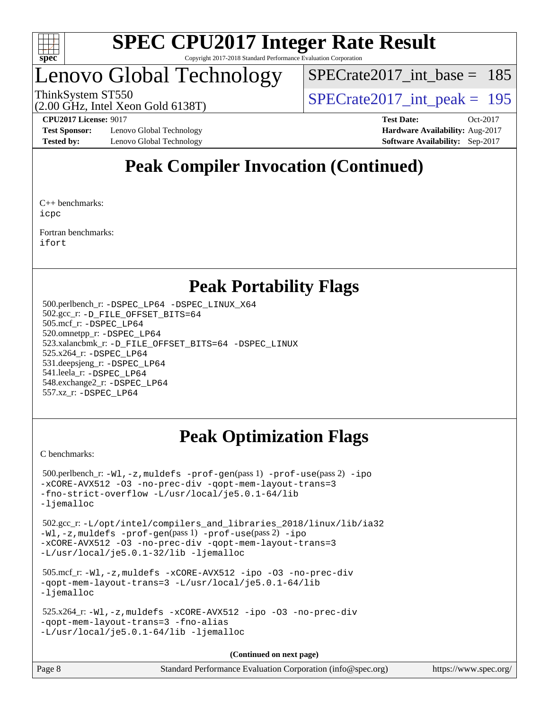

### Lenovo Global Technology

[SPECrate2017\\_int\\_base =](http://www.spec.org/auto/cpu2017/Docs/result-fields.html#SPECrate2017intbase) 185

ThinkSystem ST550<br>  $\langle 2.00 \rangle$  CH<sub>z</sub> Intel Year Gold 6138T)<br>  $\langle$  [SPECrate2017\\_int\\_peak =](http://www.spec.org/auto/cpu2017/Docs/result-fields.html#SPECrate2017intpeak) 195

(2.00 GHz, Intel Xeon Gold 6138T)

**[Test Sponsor:](http://www.spec.org/auto/cpu2017/Docs/result-fields.html#TestSponsor)** Lenovo Global Technology **[Hardware Availability:](http://www.spec.org/auto/cpu2017/Docs/result-fields.html#HardwareAvailability)** Aug-2017 **[Tested by:](http://www.spec.org/auto/cpu2017/Docs/result-fields.html#Testedby)** Lenovo Global Technology **[Software Availability:](http://www.spec.org/auto/cpu2017/Docs/result-fields.html#SoftwareAvailability)** Sep-2017

**[CPU2017 License:](http://www.spec.org/auto/cpu2017/Docs/result-fields.html#CPU2017License)** 9017 **[Test Date:](http://www.spec.org/auto/cpu2017/Docs/result-fields.html#TestDate)** Oct-2017

### **[Peak Compiler Invocation \(Continued\)](http://www.spec.org/auto/cpu2017/Docs/result-fields.html#PeakCompilerInvocation)**

[C++ benchmarks:](http://www.spec.org/auto/cpu2017/Docs/result-fields.html#CXXbenchmarks) [icpc](http://www.spec.org/cpu2017/results/res2017q4/cpu2017-20171114-00740.flags.html#user_CXXpeak_intel_icpc_18.0_c510b6838c7f56d33e37e94d029a35b4a7bccf4766a728ee175e80a419847e808290a9b78be685c44ab727ea267ec2f070ec5dc83b407c0218cded6866a35d07)

[Fortran benchmarks](http://www.spec.org/auto/cpu2017/Docs/result-fields.html#Fortranbenchmarks): [ifort](http://www.spec.org/cpu2017/results/res2017q4/cpu2017-20171114-00740.flags.html#user_FCpeak_intel_ifort_18.0_8111460550e3ca792625aed983ce982f94888b8b503583aa7ba2b8303487b4d8a21a13e7191a45c5fd58ff318f48f9492884d4413fa793fd88dd292cad7027ca)

### **[Peak Portability Flags](http://www.spec.org/auto/cpu2017/Docs/result-fields.html#PeakPortabilityFlags)**

 500.perlbench\_r: [-DSPEC\\_LP64](http://www.spec.org/cpu2017/results/res2017q4/cpu2017-20171114-00740.flags.html#b500.perlbench_r_peakPORTABILITY_DSPEC_LP64) [-DSPEC\\_LINUX\\_X64](http://www.spec.org/cpu2017/results/res2017q4/cpu2017-20171114-00740.flags.html#b500.perlbench_r_peakCPORTABILITY_DSPEC_LINUX_X64) 502.gcc\_r: [-D\\_FILE\\_OFFSET\\_BITS=64](http://www.spec.org/cpu2017/results/res2017q4/cpu2017-20171114-00740.flags.html#user_peakPORTABILITY502_gcc_r_file_offset_bits_64_5ae949a99b284ddf4e95728d47cb0843d81b2eb0e18bdfe74bbf0f61d0b064f4bda2f10ea5eb90e1dcab0e84dbc592acfc5018bc955c18609f94ddb8d550002c) 505.mcf\_r: [-DSPEC\\_LP64](http://www.spec.org/cpu2017/results/res2017q4/cpu2017-20171114-00740.flags.html#suite_peakPORTABILITY505_mcf_r_DSPEC_LP64) 520.omnetpp\_r: [-DSPEC\\_LP64](http://www.spec.org/cpu2017/results/res2017q4/cpu2017-20171114-00740.flags.html#suite_peakPORTABILITY520_omnetpp_r_DSPEC_LP64) 523.xalancbmk\_r: [-D\\_FILE\\_OFFSET\\_BITS=64](http://www.spec.org/cpu2017/results/res2017q4/cpu2017-20171114-00740.flags.html#user_peakPORTABILITY523_xalancbmk_r_file_offset_bits_64_5ae949a99b284ddf4e95728d47cb0843d81b2eb0e18bdfe74bbf0f61d0b064f4bda2f10ea5eb90e1dcab0e84dbc592acfc5018bc955c18609f94ddb8d550002c) [-DSPEC\\_LINUX](http://www.spec.org/cpu2017/results/res2017q4/cpu2017-20171114-00740.flags.html#b523.xalancbmk_r_peakCXXPORTABILITY_DSPEC_LINUX) 525.x264\_r: [-DSPEC\\_LP64](http://www.spec.org/cpu2017/results/res2017q4/cpu2017-20171114-00740.flags.html#suite_peakPORTABILITY525_x264_r_DSPEC_LP64) 531.deepsjeng\_r: [-DSPEC\\_LP64](http://www.spec.org/cpu2017/results/res2017q4/cpu2017-20171114-00740.flags.html#suite_peakPORTABILITY531_deepsjeng_r_DSPEC_LP64) 541.leela\_r: [-DSPEC\\_LP64](http://www.spec.org/cpu2017/results/res2017q4/cpu2017-20171114-00740.flags.html#suite_peakPORTABILITY541_leela_r_DSPEC_LP64) 548.exchange2\_r: [-DSPEC\\_LP64](http://www.spec.org/cpu2017/results/res2017q4/cpu2017-20171114-00740.flags.html#suite_peakPORTABILITY548_exchange2_r_DSPEC_LP64) 557.xz\_r: [-DSPEC\\_LP64](http://www.spec.org/cpu2017/results/res2017q4/cpu2017-20171114-00740.flags.html#suite_peakPORTABILITY557_xz_r_DSPEC_LP64)

### **[Peak Optimization Flags](http://www.spec.org/auto/cpu2017/Docs/result-fields.html#PeakOptimizationFlags)**

[C benchmarks](http://www.spec.org/auto/cpu2017/Docs/result-fields.html#Cbenchmarks):

```
 500.perlbench_r: -Wl,-z,muldefs -prof-gen(pass 1) -prof-use(pass 2) -ipo
-xCORE-AVX512 -O3 -no-prec-div -qopt-mem-layout-trans=3
-fno-strict-overflow -L/usr/local/je5.0.1-64/lib
-ljemalloc
```

```
 502.gcc_r: -L/opt/intel/compilers_and_libraries_2018/linux/lib/ia32
-Wl,-z,muldefs -prof-gen(pass 1) -prof-use(pass 2) -ipo
-xCORE-AVX512 -O3 -no-prec-div -qopt-mem-layout-trans=3
-L/usr/local/je5.0.1-32/lib -ljemalloc
```

```
 505.mcf_r: -Wl,-z,muldefs -xCORE-AVX512 -ipo -O3 -no-prec-div
-qopt-mem-layout-trans=3 -L/usr/local/je5.0.1-64/lib
-ljemalloc
```

```
 525.x264_r: -Wl,-z,muldefs -xCORE-AVX512 -ipo -O3 -no-prec-div
-qopt-mem-layout-trans=3 -fno-alias
-L/usr/local/je5.0.1-64/lib -ljemalloc
```
**(Continued on next page)**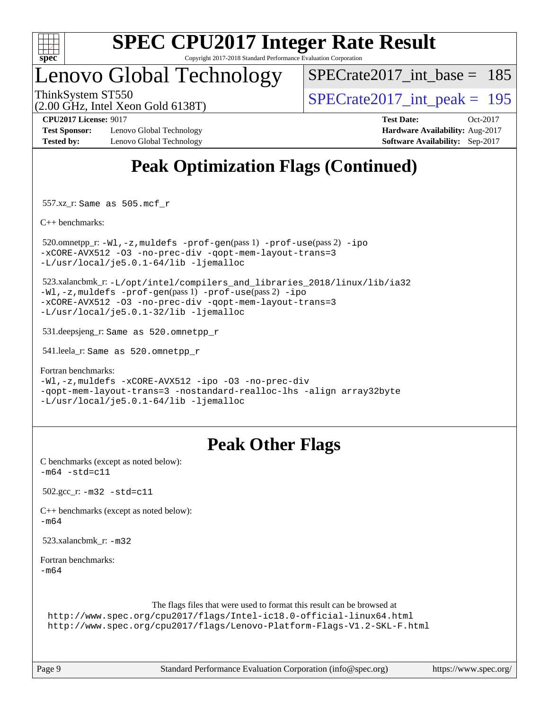

### Lenovo Global Technology

[SPECrate2017\\_int\\_base =](http://www.spec.org/auto/cpu2017/Docs/result-fields.html#SPECrate2017intbase) 185

(2.00 GHz, Intel Xeon Gold 6138T)

ThinkSystem ST550<br>  $\angle Q$  00 GHz, Intel Year Gold 6138T)<br>  $\angle$  [SPECrate2017\\_int\\_peak =](http://www.spec.org/auto/cpu2017/Docs/result-fields.html#SPECrate2017intpeak) 195

**[Test Sponsor:](http://www.spec.org/auto/cpu2017/Docs/result-fields.html#TestSponsor)** Lenovo Global Technology **[Hardware Availability:](http://www.spec.org/auto/cpu2017/Docs/result-fields.html#HardwareAvailability)** Aug-2017 **[Tested by:](http://www.spec.org/auto/cpu2017/Docs/result-fields.html#Testedby)** Lenovo Global Technology **[Software Availability:](http://www.spec.org/auto/cpu2017/Docs/result-fields.html#SoftwareAvailability)** Sep-2017

**[CPU2017 License:](http://www.spec.org/auto/cpu2017/Docs/result-fields.html#CPU2017License)** 9017 **[Test Date:](http://www.spec.org/auto/cpu2017/Docs/result-fields.html#TestDate)** Oct-2017

### **[Peak Optimization Flags \(Continued\)](http://www.spec.org/auto/cpu2017/Docs/result-fields.html#PeakOptimizationFlags)**

557.xz\_r: Same as 505.mcf\_r

[C++ benchmarks:](http://www.spec.org/auto/cpu2017/Docs/result-fields.html#CXXbenchmarks)

```
 520.omnetpp_r: -Wl,-z,muldefs -prof-gen(pass 1) -prof-use(pass 2) -ipo
-xCORE-AVX512 -O3 -no-prec-div -qopt-mem-layout-trans=3
-L/usr/local/je5.0.1-64/lib -ljemalloc
```
 523.xalancbmk\_r: [-L/opt/intel/compilers\\_and\\_libraries\\_2018/linux/lib/ia32](http://www.spec.org/cpu2017/results/res2017q4/cpu2017-20171114-00740.flags.html#user_peakCXXLD523_xalancbmk_r_Enable-32bit-runtime_af243bdb1d79e4c7a4f720bf8275e627de2ecd461de63307bc14cef0633fde3cd7bb2facb32dcc8be9566045fb55d40ce2b72b725f73827aa7833441b71b9343) [-Wl,-z,muldefs](http://www.spec.org/cpu2017/results/res2017q4/cpu2017-20171114-00740.flags.html#user_peakEXTRA_LDFLAGS523_xalancbmk_r_link_force_multiple1_b4cbdb97b34bdee9ceefcfe54f4c8ea74255f0b02a4b23e853cdb0e18eb4525ac79b5a88067c842dd0ee6996c24547a27a4b99331201badda8798ef8a743f577) [-prof-gen](http://www.spec.org/cpu2017/results/res2017q4/cpu2017-20171114-00740.flags.html#user_peakPASS1_CXXFLAGSPASS1_LDFLAGS523_xalancbmk_r_prof_gen_5aa4926d6013ddb2a31985c654b3eb18169fc0c6952a63635c234f711e6e63dd76e94ad52365559451ec499a2cdb89e4dc58ba4c67ef54ca681ffbe1461d6b36)(pass 1) [-prof-use](http://www.spec.org/cpu2017/results/res2017q4/cpu2017-20171114-00740.flags.html#user_peakPASS2_CXXFLAGSPASS2_LDFLAGS523_xalancbmk_r_prof_use_1a21ceae95f36a2b53c25747139a6c16ca95bd9def2a207b4f0849963b97e94f5260e30a0c64f4bb623698870e679ca08317ef8150905d41bd88c6f78df73f19)(pass 2) [-ipo](http://www.spec.org/cpu2017/results/res2017q4/cpu2017-20171114-00740.flags.html#user_peakPASS1_CXXOPTIMIZEPASS2_CXXOPTIMIZE523_xalancbmk_r_f-ipo) [-xCORE-AVX512](http://www.spec.org/cpu2017/results/res2017q4/cpu2017-20171114-00740.flags.html#user_peakPASS2_CXXOPTIMIZE523_xalancbmk_r_f-xCORE-AVX512) [-O3](http://www.spec.org/cpu2017/results/res2017q4/cpu2017-20171114-00740.flags.html#user_peakPASS1_CXXOPTIMIZEPASS2_CXXOPTIMIZE523_xalancbmk_r_f-O3) [-no-prec-div](http://www.spec.org/cpu2017/results/res2017q4/cpu2017-20171114-00740.flags.html#user_peakPASS1_CXXOPTIMIZEPASS2_CXXOPTIMIZE523_xalancbmk_r_f-no-prec-div) [-qopt-mem-layout-trans=3](http://www.spec.org/cpu2017/results/res2017q4/cpu2017-20171114-00740.flags.html#user_peakPASS1_CXXOPTIMIZEPASS2_CXXOPTIMIZE523_xalancbmk_r_f-qopt-mem-layout-trans_de80db37974c74b1f0e20d883f0b675c88c3b01e9d123adea9b28688d64333345fb62bc4a798493513fdb68f60282f9a726aa07f478b2f7113531aecce732043) [-L/usr/local/je5.0.1-32/lib](http://www.spec.org/cpu2017/results/res2017q4/cpu2017-20171114-00740.flags.html#user_peakEXTRA_LIBS523_xalancbmk_r_jemalloc_link_path32_e29f22e8e6c17053bbc6a0971f5a9c01a601a06bb1a59df2084b77a2fe0a2995b64fd4256feaeea39eeba3aae142e96e2b2b0a28974019c0c0c88139a84f900a) [-ljemalloc](http://www.spec.org/cpu2017/results/res2017q4/cpu2017-20171114-00740.flags.html#user_peakEXTRA_LIBS523_xalancbmk_r_jemalloc_link_lib_d1249b907c500fa1c0672f44f562e3d0f79738ae9e3c4a9c376d49f265a04b9c99b167ecedbf6711b3085be911c67ff61f150a17b3472be731631ba4d0471706)

531.deepsjeng\_r: Same as 520.omnetpp\_r

541.leela\_r: Same as 520.omnetpp\_r

[Fortran benchmarks](http://www.spec.org/auto/cpu2017/Docs/result-fields.html#Fortranbenchmarks):

[-Wl,-z,muldefs](http://www.spec.org/cpu2017/results/res2017q4/cpu2017-20171114-00740.flags.html#user_FCpeak_link_force_multiple1_b4cbdb97b34bdee9ceefcfe54f4c8ea74255f0b02a4b23e853cdb0e18eb4525ac79b5a88067c842dd0ee6996c24547a27a4b99331201badda8798ef8a743f577) [-xCORE-AVX512](http://www.spec.org/cpu2017/results/res2017q4/cpu2017-20171114-00740.flags.html#user_FCpeak_f-xCORE-AVX512) [-ipo](http://www.spec.org/cpu2017/results/res2017q4/cpu2017-20171114-00740.flags.html#user_FCpeak_f-ipo) [-O3](http://www.spec.org/cpu2017/results/res2017q4/cpu2017-20171114-00740.flags.html#user_FCpeak_f-O3) [-no-prec-div](http://www.spec.org/cpu2017/results/res2017q4/cpu2017-20171114-00740.flags.html#user_FCpeak_f-no-prec-div) [-qopt-mem-layout-trans=3](http://www.spec.org/cpu2017/results/res2017q4/cpu2017-20171114-00740.flags.html#user_FCpeak_f-qopt-mem-layout-trans_de80db37974c74b1f0e20d883f0b675c88c3b01e9d123adea9b28688d64333345fb62bc4a798493513fdb68f60282f9a726aa07f478b2f7113531aecce732043) [-nostandard-realloc-lhs](http://www.spec.org/cpu2017/results/res2017q4/cpu2017-20171114-00740.flags.html#user_FCpeak_f_2003_std_realloc_82b4557e90729c0f113870c07e44d33d6f5a304b4f63d4c15d2d0f1fab99f5daaed73bdb9275d9ae411527f28b936061aa8b9c8f2d63842963b95c9dd6426b8a) [-align array32byte](http://www.spec.org/cpu2017/results/res2017q4/cpu2017-20171114-00740.flags.html#user_FCpeak_align_array32byte_b982fe038af199962ba9a80c053b8342c548c85b40b8e86eb3cc33dee0d7986a4af373ac2d51c3f7cf710a18d62fdce2948f201cd044323541f22fc0fffc51b6) [-L/usr/local/je5.0.1-64/lib](http://www.spec.org/cpu2017/results/res2017q4/cpu2017-20171114-00740.flags.html#user_FCpeak_jemalloc_link_path64_4b10a636b7bce113509b17f3bd0d6226c5fb2346b9178c2d0232c14f04ab830f976640479e5c33dc2bcbbdad86ecfb6634cbbd4418746f06f368b512fced5394) [-ljemalloc](http://www.spec.org/cpu2017/results/res2017q4/cpu2017-20171114-00740.flags.html#user_FCpeak_jemalloc_link_lib_d1249b907c500fa1c0672f44f562e3d0f79738ae9e3c4a9c376d49f265a04b9c99b167ecedbf6711b3085be911c67ff61f150a17b3472be731631ba4d0471706)

### **[Peak Other Flags](http://www.spec.org/auto/cpu2017/Docs/result-fields.html#PeakOtherFlags)**

[C benchmarks \(except as noted below\)](http://www.spec.org/auto/cpu2017/Docs/result-fields.html#Cbenchmarksexceptasnotedbelow):  $-m64 - std = c11$  $-m64 - std = c11$ 

502.gcc\_r: [-m32](http://www.spec.org/cpu2017/results/res2017q4/cpu2017-20171114-00740.flags.html#user_peakCCLD502_gcc_r_intel_ia32_18.0_2666f1173eb60787016b673bfe1358e27016ef7649ea4884b7bc6187fd89dc221d14632e22638cde1c647a518de97358ab15d4ad098ee4e19a8b28d0c25e14bf) [-std=c11](http://www.spec.org/cpu2017/results/res2017q4/cpu2017-20171114-00740.flags.html#user_peakCCLD502_gcc_r_intel_compiler_c11_mode_0e1c27790398a4642dfca32ffe6c27b5796f9c2d2676156f2e42c9c44eaad0c049b1cdb667a270c34d979996257aeb8fc440bfb01818dbc9357bd9d174cb8524)

[C++ benchmarks \(except as noted below\):](http://www.spec.org/auto/cpu2017/Docs/result-fields.html#CXXbenchmarksexceptasnotedbelow) [-m64](http://www.spec.org/cpu2017/results/res2017q4/cpu2017-20171114-00740.flags.html#user_CXXpeak_intel_intel64_18.0_af43caccfc8ded86e7699f2159af6efc7655f51387b94da716254467f3c01020a5059329e2569e4053f409e7c9202a7efc638f7a6d1ffb3f52dea4a3e31d82ab)

523.xalancbmk\_r: [-m32](http://www.spec.org/cpu2017/results/res2017q4/cpu2017-20171114-00740.flags.html#user_peakCXXLD523_xalancbmk_r_intel_ia32_18.0_2666f1173eb60787016b673bfe1358e27016ef7649ea4884b7bc6187fd89dc221d14632e22638cde1c647a518de97358ab15d4ad098ee4e19a8b28d0c25e14bf)

[Fortran benchmarks](http://www.spec.org/auto/cpu2017/Docs/result-fields.html#Fortranbenchmarks): [-m64](http://www.spec.org/cpu2017/results/res2017q4/cpu2017-20171114-00740.flags.html#user_FCpeak_intel_intel64_18.0_af43caccfc8ded86e7699f2159af6efc7655f51387b94da716254467f3c01020a5059329e2569e4053f409e7c9202a7efc638f7a6d1ffb3f52dea4a3e31d82ab)

The flags files that were used to format this result can be browsed at

<http://www.spec.org/cpu2017/flags/Intel-ic18.0-official-linux64.html> <http://www.spec.org/cpu2017/flags/Lenovo-Platform-Flags-V1.2-SKL-F.html>